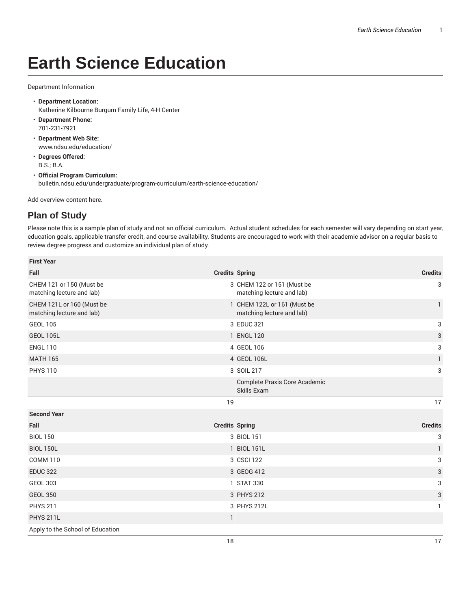## **Earth Science Education**

Department Information

- **Department Location:** Katherine Kilbourne Burgum Family Life, 4-H Center
- **Department Phone:** 701-231-7921
- **Department Web Site:** www.ndsu.edu/education/
- **Degrees Offered:** B.S.; B.A.
- **Official Program Curriculum:** bulletin.ndsu.edu/undergraduate/program-curriculum/earth-science-education/

Add overview content here.

## **Plan of Study**

Please note this is a sample plan of study and not an official curriculum. Actual student schedules for each semester will vary depending on start year, education goals, applicable transfer credit, and course availability. Students are encouraged to work with their academic advisor on a regular basis to review degree progress and customize an individual plan of study.

| <b>First Year</b>                                      |                       |                                                          |                |
|--------------------------------------------------------|-----------------------|----------------------------------------------------------|----------------|
| Fall                                                   | <b>Credits Spring</b> |                                                          | <b>Credits</b> |
| CHEM 121 or 150 (Must be<br>matching lecture and lab)  |                       | 3 CHEM 122 or 151 (Must be<br>matching lecture and lab)  | 3              |
| CHEM 121L or 160 (Must be<br>matching lecture and lab) |                       | 1 CHEM 122L or 161 (Must be<br>matching lecture and lab) | $\mathbf{1}$   |
| <b>GEOL 105</b>                                        |                       | 3 EDUC 321                                               | 3              |
| <b>GEOL 105L</b>                                       |                       | 1 ENGL 120                                               | 3              |
| <b>ENGL 110</b>                                        |                       | 4 GEOL 106                                               | 3              |
| <b>MATH 165</b>                                        |                       | 4 GEOL 106L                                              | 1              |
| <b>PHYS 110</b>                                        |                       | 3 SOIL 217                                               | 3              |
|                                                        |                       | Complete Praxis Core Academic<br>Skills Exam             |                |
|                                                        | 19                    |                                                          | 17             |
| <b>Second Year</b>                                     |                       |                                                          |                |
| Fall                                                   | <b>Credits Spring</b> |                                                          | <b>Credits</b> |
| <b>BIOL 150</b>                                        |                       | 3 BIOL 151                                               | 3              |
| <b>BIOL 150L</b>                                       |                       | 1 BIOL 151L                                              | $\mathbf{1}$   |
| <b>COMM 110</b>                                        |                       | 3 CSCI 122                                               | 3              |
| <b>EDUC 322</b>                                        |                       | 3 GEOG 412                                               | 3              |
| <b>GEOL 303</b>                                        |                       | 1 STAT 330                                               | 3              |
| <b>GEOL 350</b>                                        |                       | 3 PHYS 212                                               | 3              |
| <b>PHYS 211</b>                                        |                       | 3 PHYS 212L                                              | 1              |
| <b>PHYS 211L</b>                                       | $\mathbf{1}$          |                                                          |                |
| Apply to the School of Education                       |                       |                                                          |                |